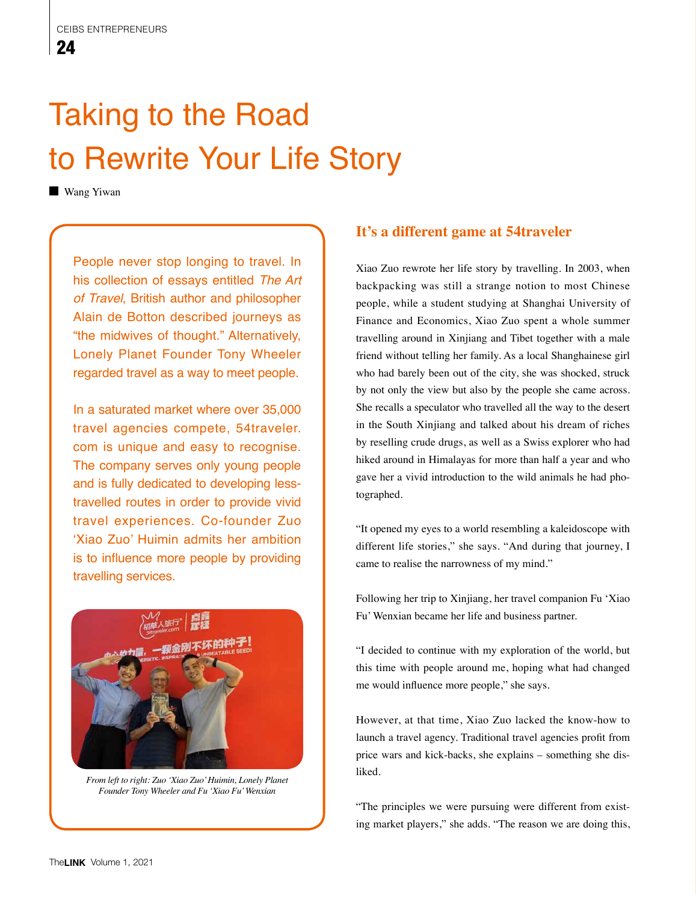## Taking to the Road to Rewrite Your Life Story

**Wang Yiwan** 

People never stop longing to travel. In his collection of essays entitled *The Art of Travel*, British author and philosopher Alain de Botton described journeys as "the midwives of thought." Alternatively, Lonely Planet Founder Tony Wheeler regarded travel as a way to meet people.

In a saturated market where over 35,000 travel agencies compete, 54traveler. com is unique and easy to recognise. The company serves only young people and is fully dedicated to developing lesstravelled routes in order to provide vivid travel experiences. Co-founder Zuo 'Xiao Zuo' Huimin admits her ambition is to influence more people by providing travelling services.



*From left to right: Zuo 'Xiao Zuo' Huimin, Lonely Planet Founder Tony Wheeler and Fu 'Xiao Fu' Wenxian* 

## **It's a different game at 54traveler**

Xiao Zuo rewrote her life story by travelling. In 2003, when backpacking was still a strange notion to most Chinese people, while a student studying at Shanghai University of Finance and Economics, Xiao Zuo spent a whole summer travelling around in Xinjiang and Tibet together with a male friend without telling her family. As a local Shanghainese girl who had barely been out of the city, she was shocked, struck by not only the view but also by the people she came across. She recalls a speculator who travelled all the way to the desert in the South Xinjiang and talked about his dream of riches by reselling crude drugs, as well as a Swiss explorer who had hiked around in Himalayas for more than half a year and who gave her a vivid introduction to the wild animals he had photographed.

"It opened my eyes to a world resembling a kaleidoscope with different life stories," she says. "And during that journey, I came to realise the narrowness of my mind."

Following her trip to Xinjiang, her travel companion Fu 'Xiao Fu' Wenxian became her life and business partner.

"I decided to continue with my exploration of the world, but this time with people around me, hoping what had changed me would influence more people," she says.

However, at that time, Xiao Zuo lacked the know-how to launch a travel agency. Traditional travel agencies profit from price wars and kick-backs, she explains – something she disliked.

"The principles we were pursuing were different from existing market players," she adds. "The reason we are doing this,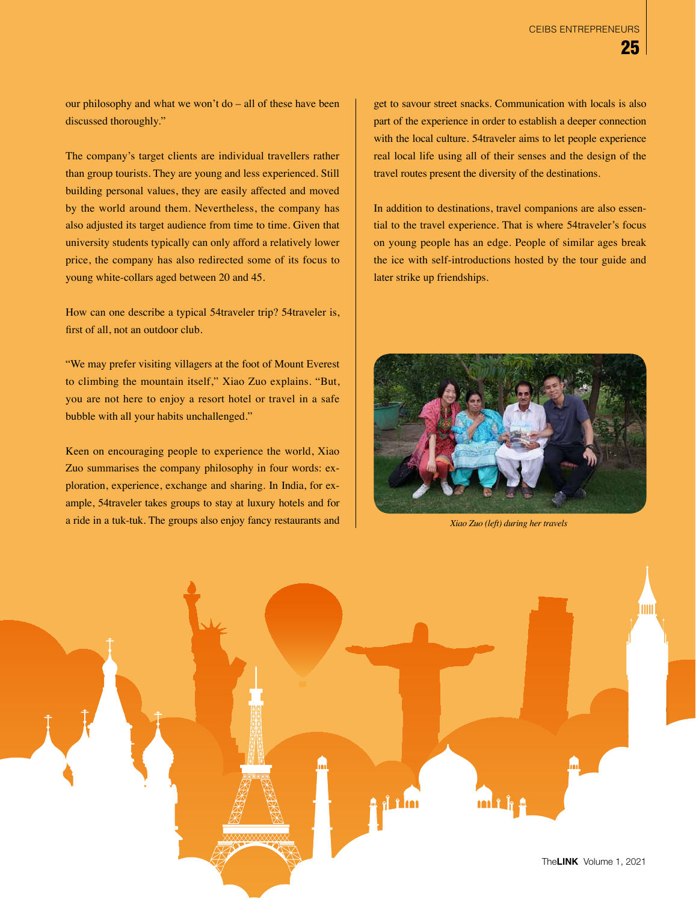our philosophy and what we won't do – all of these have been discussed thoroughly."

The company's target clients are individual travellers rather than group tourists. They are young and less experienced. Still building personal values, they are easily affected and moved by the world around them. Nevertheless, the company has also adjusted its target audience from time to time. Given that university students typically can only afford a relatively lower price, the company has also redirected some of its focus to young white-collars aged between 20 and 45.

How can one describe a typical 54traveler trip? 54traveler is, first of all, not an outdoor club.

"We may prefer visiting villagers at the foot of Mount Everest to climbing the mountain itself," Xiao Zuo explains. "But, you are not here to enjoy a resort hotel or travel in a safe bubble with all your habits unchallenged."

Keen on encouraging people to experience the world, Xiao Zuo summarises the company philosophy in four words: exploration, experience, exchange and sharing. In India, for example, 54traveler takes groups to stay at luxury hotels and for a ride in a tuk-tuk. The groups also enjoy fancy restaurants and get to savour street snacks. Communication with locals is also part of the experience in order to establish a deeper connection with the local culture. 54traveler aims to let people experience real local life using all of their senses and the design of the travel routes present the diversity of the destinations.

In addition to destinations, travel companions are also essential to the travel experience. That is where 54traveler's focus on young people has an edge. People of similar ages break the ice with self-introductions hosted by the tour guide and later strike up friendships.



*Xiao Zuo (left) during her travels*

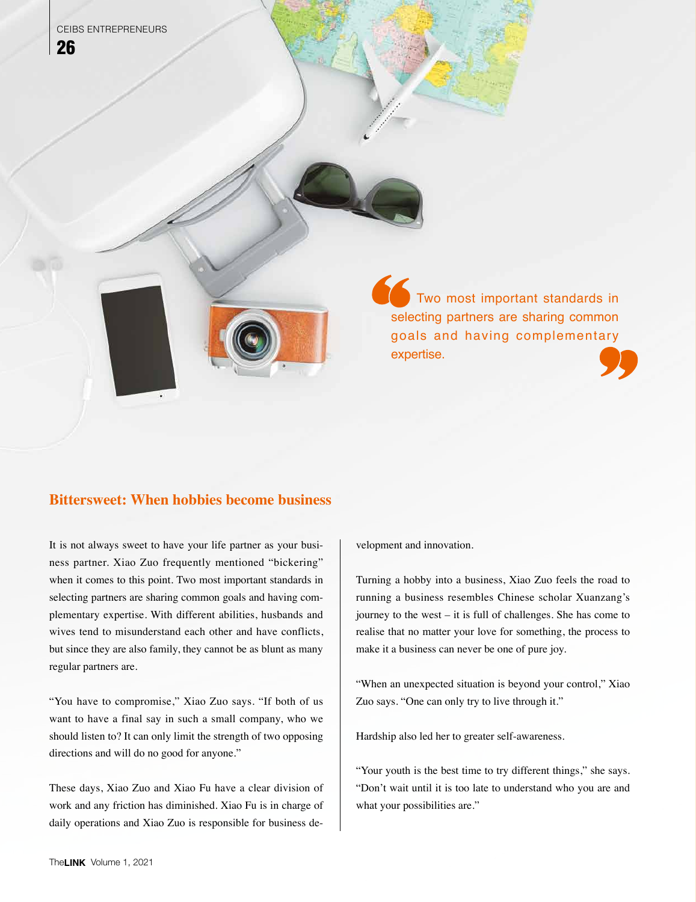Two most important standards in selecting partners are sharing common goals and having complementary expertise.

## **Bittersweet: When hobbies become business**

It is not always sweet to have your life partner as your business partner. Xiao Zuo frequently mentioned "bickering" when it comes to this point. Two most important standards in selecting partners are sharing common goals and having complementary expertise. With different abilities, husbands and wives tend to misunderstand each other and have conflicts, but since they are also family, they cannot be as blunt as many regular partners are.

"You have to compromise," Xiao Zuo says. "If both of us want to have a final say in such a small company, who we should listen to? It can only limit the strength of two opposing directions and will do no good for anyone."

These days, Xiao Zuo and Xiao Fu have a clear division of work and any friction has diminished. Xiao Fu is in charge of daily operations and Xiao Zuo is responsible for business development and innovation.

Turning a hobby into a business, Xiao Zuo feels the road to running a business resembles Chinese scholar Xuanzang's journey to the west – it is full of challenges. She has come to realise that no matter your love for something, the process to make it a business can never be one of pure joy.

"When an unexpected situation is beyond your control," Xiao Zuo says. "One can only try to live through it."

Hardship also led her to greater self-awareness.

"Your youth is the best time to try different things," she says. "Don't wait until it is too late to understand who you are and what your possibilities are."